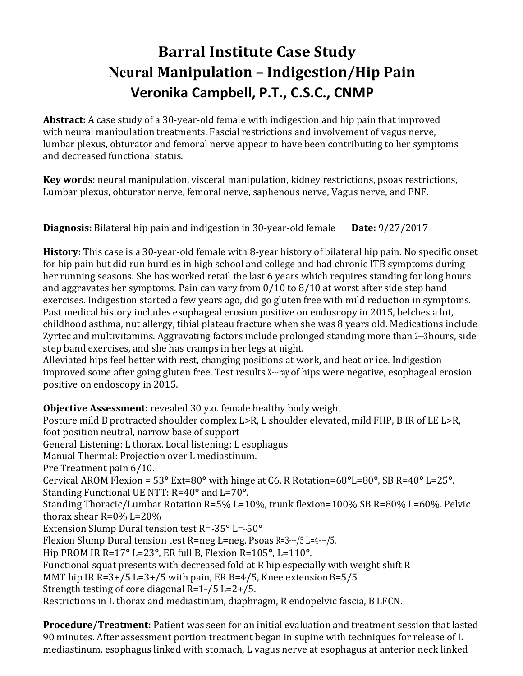## **Barral Institute Case Study Neural Manipulation – Indigestion/Hip Pain Veronika Campbell, P.T., C.S.C., CNMP**

**Abstract:** A case study of a 30-year-old female with indigestion and hip pain that improved with neural manipulation treatments. Fascial restrictions and involvement of vagus nerve, lumbar plexus, obturator and femoral nerve appear to have been contributing to her symptoms and decreased functional status.

**Key words**: neural manipulation, visceral manipulation, kidney restrictions, psoas restrictions, Lumbar plexus, obturator nerve, femoral nerve, saphenous nerve, Vagus nerve, and PNF.

**Diagnosis:** Bilateral hip pain and indigestion in 30-year-old female **Date:** 9/27/2017

**History:** This case is a 30-year-old female with 8-year history of bilateral hip pain. No specific onset for hip pain but did run hurdles in high school and college and had chronic ITB symptoms during her running seasons. She has worked retail the last 6 years which requires standing for long hours and aggravates her symptoms. Pain can vary from 0/10 to 8/10 at worst after side step band exercises. Indigestion started a few years ago, did go gluten free with mild reduction in symptoms. Past medical history includes esophageal erosion positive on endoscopy in 2015, belches a lot, childhood asthma, nut allergy, tibial plateau fracture when she was 8 years old. Medications include Zyrtec and multivitamins. Aggravating factors include prolonged standing more than 2-3 hours, side step band exercises, and she has cramps in her legs at night.

Alleviated hips feel better with rest, changing positions at work, and heat or ice. Indigestion improved some after going gluten free. Test results X---ray of hips were negative, esophageal erosion positive on endoscopy in 2015.

**Objective Assessment:** revealed 30 y.o. female healthy body weight Posture mild B protracted shoulder complex L>R, L shoulder elevated, mild FHP, B IR of LE L>R, foot position neutral, narrow base of support General Listening: L thorax. Local listening: L esophagus Manual Thermal: Projection over L mediastinum. Pre Treatment pain 6/10. Cervical AROM Flexion = 53**°** Ext=80**°** with hinge at C6, R Rotation=68**°**L=80**°**, SB R=40**°** L=25**°**. Standing Functional UE NTT: R=40**°** and L=70**°**. Standing Thoracic/Lumbar Rotation R=5% L=10%, trunk flexion=100% SB R=80% L=60%. Pelvic thorax shear R=0% L=20% Extension Slump Dural tension test R=-35° L=-50° Flexion Slump Dural tension test R=neg L=neg. Psoas R=3---/5 L=4---/5. Hip PROM IR R=17**°** L=23**°**, ER full B, Flexion R=105**°**, L=110**°**. Functional squat presents with decreased fold at R hip especially with weight shift R MMT hip IR R=3+/5 L=3+/5 with pain, ER B=4/5, Knee extension B=5/5 Strength testing of core diagonal  $R=1$ -/5 L=2+/5. Restrictions in L thorax and mediastinum, diaphragm, R endopelvic fascia, B LFCN.

**Procedure/Treatment:** Patient was seen for an initial evaluation and treatment session that lasted 90 minutes. After assessment portion treatment began in supine with techniques for release of L mediastinum, esophagus linked with stomach, L vagus nerve at esophagus at anterior neck linked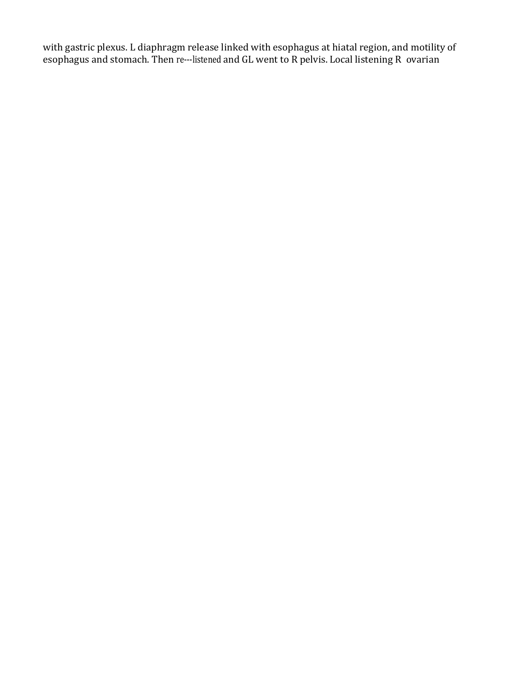with gastric plexus. L diaphragm release linked with esophagus at hiatal region, and motility of esophagus and stomach. Then re---listened and GL went to R pelvis. Local listening R ovarian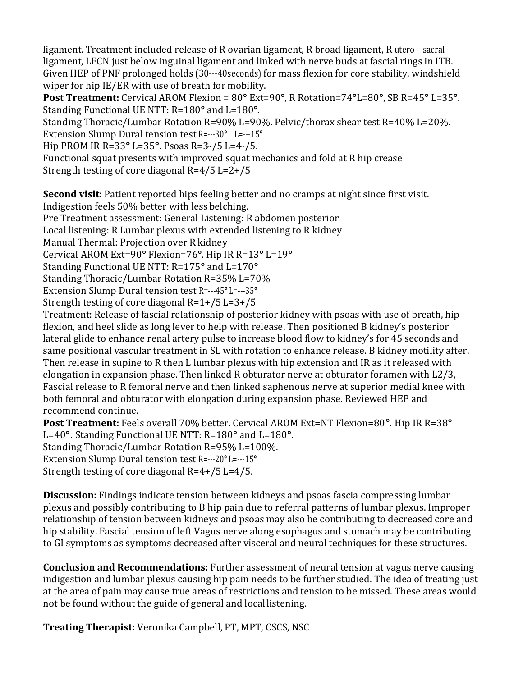ligament. Treatment included release of R ovarian ligament, R broad ligament, R utero---sacral ligament, LFCN just below inguinal ligament and linked with nerve buds at fascial rings in ITB. Given HEP of PNF prolonged holds (30---40seconds) for mass flexion for core stability, windshield wiper for hip IE/ER with use of breath for mobility.

**Post Treatment:** Cervical AROM Flexion = 80**°** Ext=90**°**, R Rotation=74**°**L=80**°**, SB R=45**°** L=35**°**. Standing Functional UE NTT: R=180**°** and L=180**°**.

Standing Thoracic/Lumbar Rotation R=90% L=90%. Pelvic/thorax shear test R=40% L=20%. Extension Slump Dural tension test R=---30**°** L=---15**°**

Hip PROM IR R=33**°** L=35**°**. Psoas R=3---/5 L=4---/5.

Functional squat presents with improved squat mechanics and fold at R hip crease Strength testing of core diagonal R=4/5 L=2+/5

**Second visit:** Patient reported hips feeling better and no cramps at night since first visit. Indigestion feels 50% better with less belching.

Pre Treatment assessment: General Listening: R abdomen posterior

Local listening: R Lumbar plexus with extended listening to R kidney

Manual Thermal: Projection over R kidney

Cervical AROM Ext=90**°** Flexion=76**°**. Hip IR R=13**°** L=19**°** 

Standing Functional UE NTT: R=175**°** and L=170**°** 

Standing Thoracic/Lumbar Rotation R=35% L=70%

Extension Slump Dural tension test R=---45**°** L=---35**°** 

Strength testing of core diagonal R=1+/5 L=3+/5

Treatment: Release of fascial relationship of posterior kidney with psoas with use of breath, hip flexion, and heel slide as long lever to help with release. Then positioned B kidney's posterior lateral glide to enhance renal artery pulse to increase blood flow to kidney's for 45 seconds and same positional vascular treatment in SL with rotation to enhance release. B kidney motility after. Then release in supine to R then L lumbar plexus with hip extension and IR as it released with elongation in expansion phase. Then linked R obturator nerve at obturator foramen with L2/3, Fascial release to R femoral nerve and then linked saphenous nerve at superior medial knee with both femoral and obturator with elongation during expansion phase. Reviewed HEP and recommend continue.

**Post Treatment:** Feels overall 70% better. Cervical AROM Ext=NT Flexion=80°. Hip IR R=38**°**  L=40**°**. Standing Functional UE NTT: R=180**°** and L=180**°**. Standing Thoracic/Lumbar Rotation R=95% L=100%.

Extension Slump Dural tension test R=---20**°** L=---15**°** 

Strength testing of core diagonal R=4+/5 L=4/5.

**Discussion:** Findings indicate tension between kidneys and psoas fascia compressing lumbar plexus and possibly contributing to B hip pain due to referral patterns of lumbar plexus. Improper relationship of tension between kidneys and psoas may also be contributing to decreased core and hip stability. Fascial tension of left Vagus nerve along esophagus and stomach may be contributing to GI symptoms as symptoms decreased after visceral and neural techniques for these structures.

**Conclusion and Recommendations:** Further assessment of neural tension at vagus nerve causing indigestion and lumbar plexus causing hip pain needs to be further studied. The idea of treating just at the area of pain may cause true areas of restrictions and tension to be missed. These areas would not be found without the guide of general and local listening.

**Treating Therapist:** Veronika Campbell, PT, MPT, CSCS, NSC